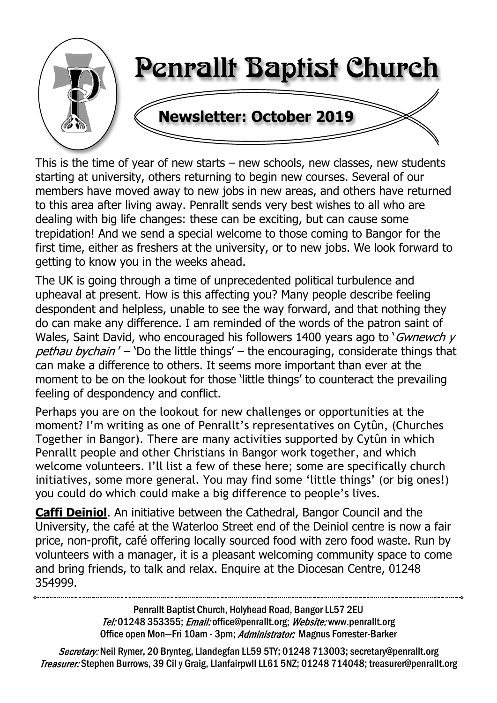

This is the time of year of new starts  $-$  new schools, new classes, new students starting at university, others returning to begin new courses. Several of our members have moved away to new jobs in new areas, and others have returned to this area after living away. Penrallt sends very best wishes to all who are dealing with big life changes: these can be exciting, but can cause some trepidation! And we send a special welcome to those coming to Bangor for the first time, either as freshers at the university, or to new jobs. We look forward to getting to know you in the weeks ahead.

The UK is going through a time of unprecedented political turbulence and upheaval at present. How is this affecting you? Many people describe feeling despondent and helpless, unable to see the way forward, and that nothing they do can make any difference. I am reminded of the words of the patron saint of Wales, Saint David, who encouraged his followers 1400 years ago to 'Gwnewch  $y$ pethau bychain' – 'Do the little things' – the encouraging, considerate things that can make a difference to others. It seems more important than ever at the moment to be on the lookout for those 'little things' to counteract the prevailing feeling of despondency and conflict.

Perhaps you are on the lookout for new challenges or opportunities at the moment? I'm writing as one of Penrallt's representatives on Cytûn, (Churches Together in Bangor). There are many activities supported by Cytûn in which Penrallt people and other Christians in Bangor work together, and which welcome volunteers. I'll list a few of these here; some are specifically church initiatives, some more general. You may find some 'little things' (or big ones!) you could do which could make a big difference to people's lives.

**Caffi Deiniol**. An initiative between the Cathedral, Bangor Council and the University, the café at the Waterloo Street end of the Deiniol centre is now a fair price, non-profit, café offering locally sourced food with zero food waste. Run by volunteers with a manager, it is a pleasant welcoming community space to come and bring friends, to talk and relax. Enquire at the Diocesan Centre, 01248 354999.

> Penrallt Baptist Church, Holyhead Road, Bangor LL57 2EU Tel:01248 353355; Email: office@penrallt.org; Website: www.penrallt.org Office open Mon-Fri 10am - 3pm; Administrator: Magnus Forrester-Barker

Secretary: Neil Rymer, 20 Brynteg, Llandegfan LL59 5TY; 01248 713003; secretary@penrallt.org Treasurer: Stephen Burrows, 39 Cil y Graig, Llanfairpwll LL61 5NZ; 01248 714048; treasurer@penrallt.org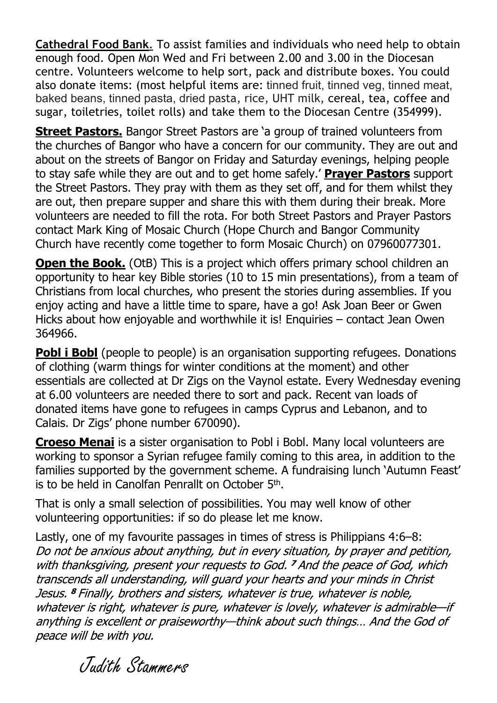**Cathedral Food Bank**. To assist families and individuals who need help to obtain enough food. Open Mon Wed and Fri between 2.00 and 3.00 in the Diocesan centre. Volunteers welcome to help sort, pack and distribute boxes. You could also donate items: (most helpful items are: tinned fruit, tinned veg, tinned meat, baked beans, tinned pasta, dried pasta, rice, UHT milk, cereal, tea, coffee and sugar, toiletries, toilet rolls) and take them to the Diocesan Centre (354999).

**Street Pastors.** Bangor Street Pastors are 'a group of trained volunteers from the churches of Bangor who have a concern for our community. They are out and about on the streets of Bangor on Friday and Saturday evenings, helping people to stay safe while they are out and to get home safely.' **Prayer Pastors** support the Street Pastors. They pray with them as they set off, and for them whilst they are out, then prepare supper and share this with them during their break. More volunteers are needed to fill the rota. For both Street Pastors and Prayer Pastors contact Mark King of Mosaic Church (Hope Church and Bangor Community Church have recently come together to form Mosaic Church) on 07960077301.

**Open the Book.** (OtB) This is a project which offers primary school children an opportunity to hear key Bible stories (10 to 15 min presentations), from a team of Christians from local churches, who present the stories during assemblies. If you enjoy acting and have a little time to spare, have a go! Ask Joan Beer or Gwen Hicks about how enjoyable and worthwhile it is! Enquiries – contact Jean Owen 364966.

**Pobl i Bobl** (people to people) is an organisation supporting refugees. Donations of clothing (warm things for winter conditions at the moment) and other essentials are collected at Dr Zigs on the Vaynol estate. Every Wednesday evening at 6.00 volunteers are needed there to sort and pack. Recent van loads of donated items have gone to refugees in camps Cyprus and Lebanon, and to Calais. Dr Zigs' phone number 670090).

**Croeso Menai** is a sister organisation to Pobl i Bobl. Many local volunteers are working to sponsor a Syrian refugee family coming to this area, in addition to the families supported by the government scheme. A fundraising lunch 'Autumn Feast' is to be held in Canolfan Penrallt on October 5<sup>th</sup>.

That is only a small selection of possibilities. You may well know of other volunteering opportunities: if so do please let me know.

Lastly, one of my favourite passages in times of stress is Philippians 4:6–8: Do not be anxious about anything, but in every situation, by prayer and petition, with thanksgiving, present your requests to God. <sup>7</sup> And the peace of God, which transcends all understanding, will guard your hearts and your minds in Christ Jesus. <sup>8</sup> Finally, brothers and sisters, whatever is true, whatever is noble, whatever is right, whatever is pure, whatever is lovely, whatever is admirable-if anything is excellent or praiseworthy-think about such things... And the God of peace will be with you.

Judith Stammers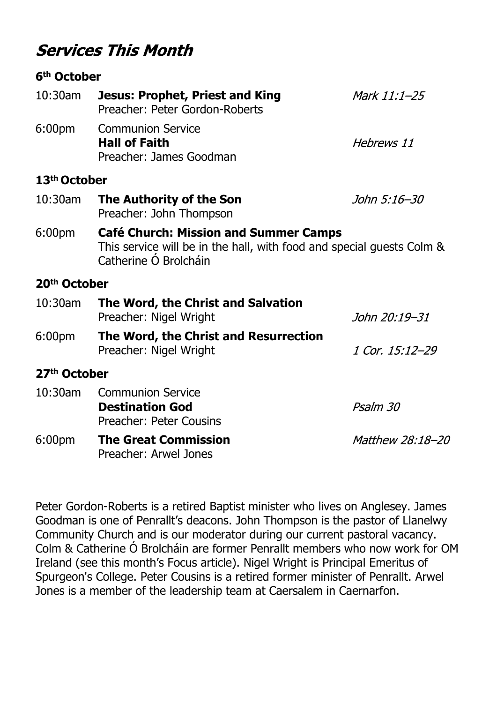## **Services This Month**

#### **6th October**

| 10:30am                  | <b>Jesus: Prophet, Priest and King</b><br>Preacher: Peter Gordon-Roberts                                                                       | Mark 11:1-25     |
|--------------------------|------------------------------------------------------------------------------------------------------------------------------------------------|------------------|
| 6:00pm                   | <b>Communion Service</b><br><b>Hall of Faith</b><br>Preacher: James Goodman                                                                    | Hebrews 11       |
| 13 <sup>th</sup> October |                                                                                                                                                |                  |
| 10:30am                  | The Authority of the Son<br>Preacher: John Thompson                                                                                            | John 5:16–30     |
| 6:00 <sub>pm</sub>       | <b>Café Church: Mission and Summer Camps</b><br>This service will be in the hall, with food and special guests Colm &<br>Catherine Ó Brolcháin |                  |
| 20 <sup>th</sup> October |                                                                                                                                                |                  |
| 10:30am                  | The Word, the Christ and Salvation<br>Preacher: Nigel Wright                                                                                   | John 20:19–31    |
| 6:00pm                   | The Word, the Christ and Resurrection<br>Preacher: Nigel Wright                                                                                | 1 Cor. 15:12-29  |
| 27 <sup>th</sup> October |                                                                                                                                                |                  |
| 10:30am                  | <b>Communion Service</b><br><b>Destination God</b><br><b>Preacher: Peter Cousins</b>                                                           | Psalm 30         |
| 6:00 <sub>pm</sub>       | <b>The Great Commission</b><br>Preacher: Arwel Jones                                                                                           | Matthew 28:18-20 |

Peter Gordon-Roberts is a retired Baptist minister who lives on Anglesey. James Goodman is one of Penrallt's deacons. John Thompson is the pastor of Llanelwy Community Church and is our moderator during our current pastoral vacancy. Colm & Catherine Ó Brolcháin are former Penrallt members who now work for OM Ireland (see this month's Focus article). Nigel Wright is Principal Emeritus of Spurgeon's College. Peter Cousins is a retired former minister of Penrallt. Arwel Jones is a member of the leadership team at Caersalem in Caernarfon.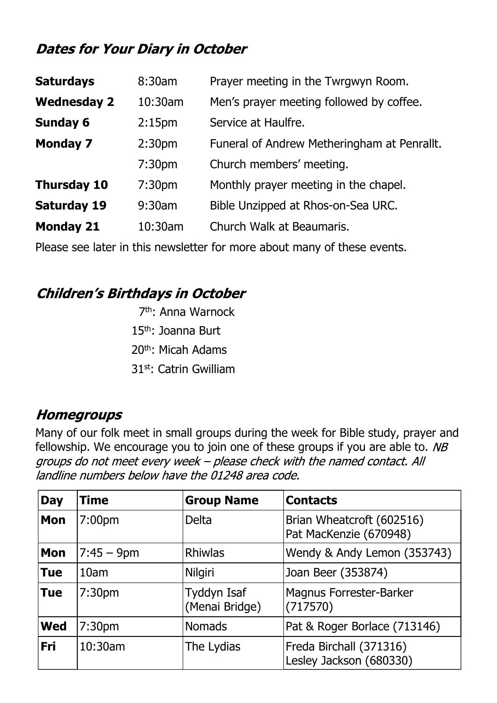## **Dates for Your Diary in October**

| <b>Saturdays</b>   | 8:30am             | Prayer meeting in the Twrgwyn Room.         |
|--------------------|--------------------|---------------------------------------------|
| <b>Wednesday 2</b> | $10:30$ am         | Men's prayer meeting followed by coffee.    |
| <b>Sunday 6</b>    | 2:15 <sub>pm</sub> | Service at Haulfre.                         |
| <b>Monday 7</b>    | 2:30 <sub>pm</sub> | Funeral of Andrew Metheringham at Penrallt. |
|                    | 7:30 <sub>pm</sub> | Church members' meeting.                    |
| <b>Thursday 10</b> | 7:30 <sub>pm</sub> | Monthly prayer meeting in the chapel.       |
| <b>Saturday 19</b> | 9:30am             | Bible Unzipped at Rhos-on-Sea URC.          |
| <b>Monday 21</b>   | 10:30am            | Church Walk at Beaumaris.                   |
|                    |                    |                                             |

Please see later in this newsletter for more about many of these events.

## **Children's Birthdays in October**

th: Anna Warnock th: Joanna Burt th: Micah Adams st: Catrin Gwilliam

## **Homegroups**

Many of our folk meet in small groups during the week for Bible study, prayer and fellowship. We encourage you to join one of these groups if you are able to. NB groups do not meet every week - please check with the named contact. All landline numbers below have the 01248 area code.

| <b>Day</b> | <b>Time</b>        | <b>Group Name</b>             | <b>Contacts</b>                                     |
|------------|--------------------|-------------------------------|-----------------------------------------------------|
| <b>Mon</b> | 7:00 <sub>pm</sub> | <b>Delta</b>                  | Brian Wheatcroft (602516)<br>Pat MacKenzie (670948) |
| <b>Mon</b> | $7:45 - 9$ pm      | <b>Rhiwlas</b>                | Wendy & Andy Lemon (353743)                         |
| <b>Tue</b> | 10am               | Nilgiri                       | Joan Beer (353874)                                  |
| <b>Tue</b> | 7:30 <sub>pm</sub> | Tyddyn Isaf<br>(Menai Bridge) | <b>Magnus Forrester-Barker</b><br>(717570)          |
| <b>Wed</b> | 7:30 <sub>pm</sub> | <b>Nomads</b>                 | Pat & Roger Borlace (713146)                        |
| <b>Fri</b> | 10:30am            | The Lydias                    | Freda Birchall (371316)<br>Lesley Jackson (680330)  |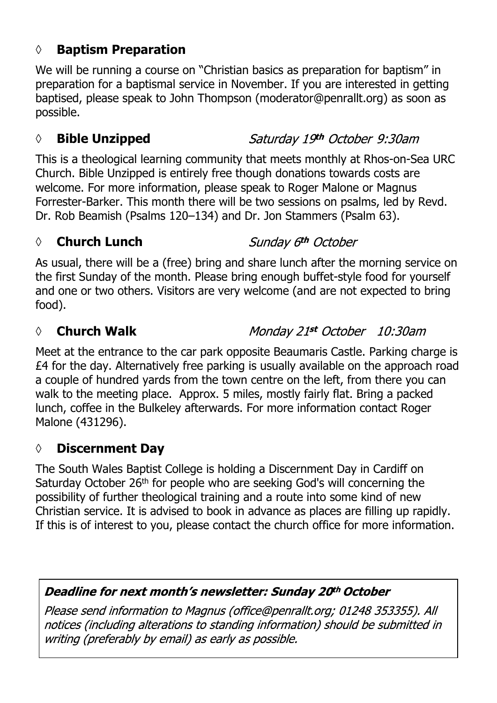#### **◊ Baptism Preparation**

We will be running a course on "Christian basics as preparation for baptism" in preparation for a baptismal service in November. If you are interested in getting baptised, please speak to John Thompson (moderator@penrallt.org) as soon as possible.

#### *◊* **Bible Unzipped**

This is a theological learning community that meets monthly at Rhos-on-Sea URC Church. Bible Unzipped is entirely free though donations towards costs are welcome. For more information, please speak to Roger Malone or Magnus Forrester-Barker. This month there will be two sessions on psalms, led by Revd. Dr. Rob Beamish (Psalms 120–134) and Dr. Jon Stammers (Psalm 63).

#### *◊* **Church Lunch**

Sunday 6th October

As usual, there will be a (free) bring and share lunch after the morning service on the first Sunday of the month. Please bring enough buffet-style food for yourself and one or two others. Visitors are very welcome (and are not expected to bring food).

#### *◊* **Church Walk**

Monday 21st October 10:30am

Meet at the entrance to the car park opposite Beaumaris Castle. Parking charge is £4 for the day. Alternatively free parking is usually available on the approach road a couple of hundred yards from the town centre on the left, from there you can walk to the meeting place. Approx. 5 miles, mostly fairly flat. Bring a packed lunch, coffee in the Bulkeley afterwards. For more information contact Roger Malone (431296).

## **◊ Discernment Day**

The South Wales Baptist College is holding a Discernment Day in Cardiff on Saturday October 26th for people who are seeking God's will concerning the possibility of further theological training and a route into some kind of new Christian service. It is advised to book in advance as places are filling up rapidly. If this is of interest to you, please contact the church office for more information.

#### Deadline for next month's newsletter: Sunday 20th October

Please send information to Magnus (office@penrallt.org; 01248 353355). All notices (including alterations to standing information) should be submitted in writing (preferably by email) as early as possible.

## Saturday 19th October 9:30am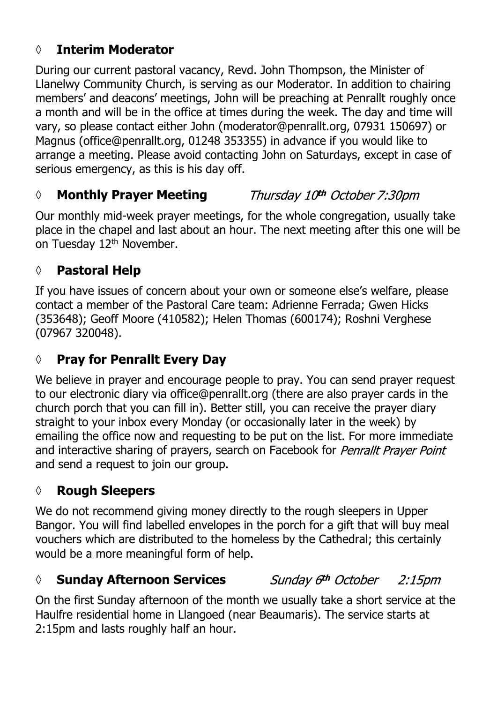### **◊ Interim Moderator**

During our current pastoral vacancy, Revd. John Thompson, the Minister of Llanelwy Community Church, is serving as our Moderator. In addition to chairing members' and deacons' meetings, John will be preaching at Penrallt roughly once a month and will be in the office at times during the week. The day and time will vary, so please contact either John (moderator@penrallt.org, 07931 150697) or Magnus (office@penrallt.org, 01248 353355) in advance if you would like to arrange a meeting. Please avoid contacting John on Saturdays, except in case of serious emergency, as this is his day off.

#### *◊* **Monthly Prayer Meeting** Thursday 10th October 7:30pm

Our monthly mid-week prayer meetings, for the whole congregation, usually take place in the chapel and last about an hour. The next meeting after this one will be on Tuesday 12<sup>th</sup> November.

#### **◊ Pastoral Help**

If you have issues of concern about your own or someone else's welfare, please contact a member of the Pastoral Care team: Adrienne Ferrada; Gwen Hicks (353648); Geoff Moore (410582); Helen Thomas (600174); Roshni Verghese (07967 320048).

#### **◊ Pray for Penrallt Every Day**

We believe in prayer and encourage people to pray. You can send prayer request to our electronic diary via office@penrallt.org (there are also prayer cards in the church porch that you can fill in). Better still, you can receive the prayer diary straight to your inbox every Monday (or occasionally later in the week) by emailing the office now and requesting to be put on the list. For more immediate and interactive sharing of prayers, search on Facebook for Penrallt Prayer Point and send a request to join our group.

#### **◊ Rough Sleepers**

We do not recommend giving money directly to the rough sleepers in Upper Bangor. You will find labelled envelopes in the porch for a gift that will buy meal vouchers which are distributed to the homeless by the Cathedral; this certainly would be a more meaningful form of help.

#### *◊* **Sunday Afternoon Services**

Sunday 6th October  $2:15$ pm

On the first Sunday afternoon of the month we usually take a short service at the Haulfre residential home in Llangoed (near Beaumaris). The service starts at 2:15pm and lasts roughly half an hour.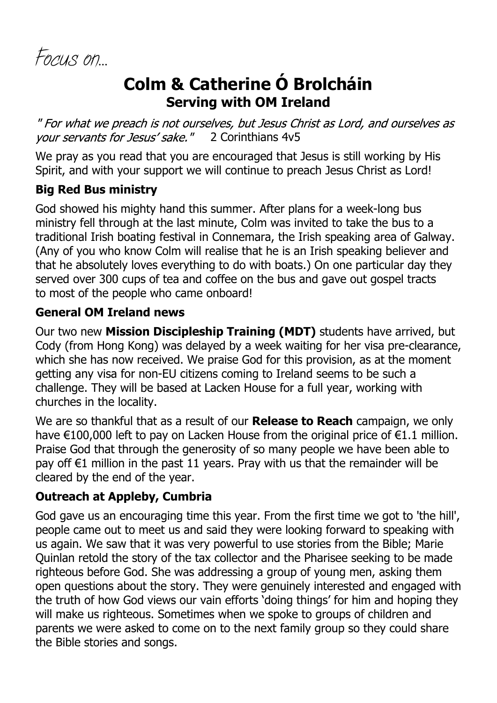*Focus on…*

# **Colm & Catherine Ó Brolcháin Serving with OM Ireland**

" For what we preach is not ourselves, but Jesus Christ as Lord, and ourselves as vour servants for Jesus' sake." 2 Corinthians 4v5

We pray as you read that you are encouraged that Jesus is still working by His Spirit, and with your support we will continue to preach Jesus Christ as Lord!

#### **Big Red Bus ministry**

God showed his mighty hand this summer. After plans for a week-long bus ministry fell through at the last minute, Colm was invited to take the bus to a traditional Irish boating festival in Connemara, the Irish speaking area of Galway. (Any of you who know Colm will realise that he is an Irish speaking believer and that he absolutely loves everything to do with boats.) On one particular day they served over 300 cups of tea and coffee on the bus and gave out gospel tracts to most of the people who came onboard!

#### **General OM Ireland news**

Our two new **Mission Discipleship Training (MDT)** students have arrived, but Cody (from Hong Kong) was delayed by a week waiting for her visa pre-clearance, which she has now received. We praise God for this provision, as at the moment getting any visa for non-EU citizens coming to Ireland seems to be such a challenge. They will be based at Lacken House for a full year, working with churches in the locality.

We are so thankful that as a result of our **Release to Reach** campaign, we only have €100,000 left to pay on Lacken House from the original price of €1.1 million. Praise God that through the generosity of so many people we have been able to pay off  $\epsilon$ 1 million in the past 11 years. Pray with us that the remainder will be cleared by the end of the year.

#### **Outreach at Appleby, Cumbria**

God gave us an encouraging time this year. From the first time we got to 'the hill', people came out to meet us and said they were looking forward to speaking with us again. We saw that it was very powerful to use stories from the Bible; Marie Quinlan retold the story of the tax collector and the Pharisee seeking to be made righteous before God. She was addressing a group of young men, asking them open questions about the story. They were genuinely interested and engaged with the truth of how God views our vain efforts 'doing things' for him and hoping they will make us righteous. Sometimes when we spoke to groups of children and parents we were asked to come on to the next family group so they could share the Bible stories and songs.